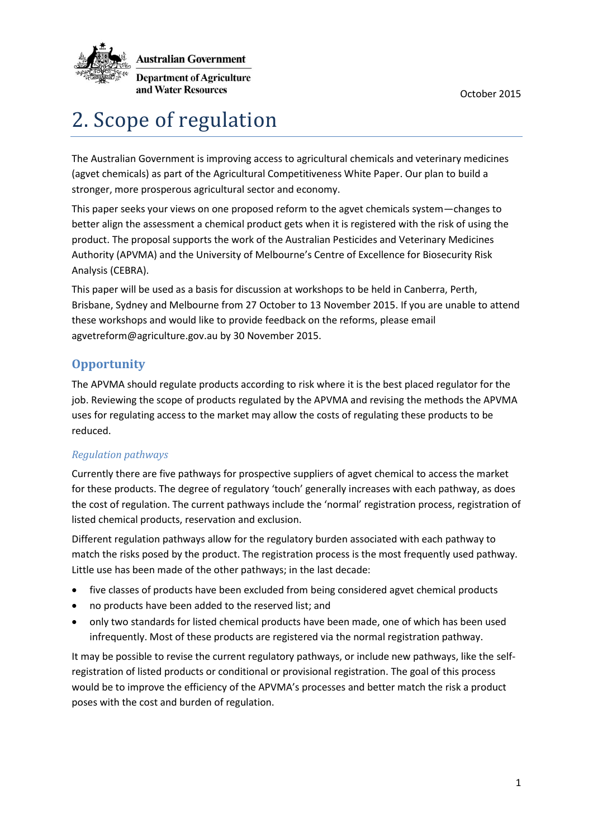

**Australian Government** 

**Department of Agriculture** and Water Resources

# 2. Scope of regulation

The Australian Government is improving access to agricultural chemicals and veterinary medicines (agvet chemicals) as part of the Agricultural Competitiveness White Paper. Our plan to build a stronger, more prosperous agricultural sector and economy.

This paper seeks your views on one proposed reform to the agvet chemicals system—changes to better align the assessment a chemical product gets when it is registered with the risk of using the product. The proposal supports the work of the Australian Pesticides and Veterinary Medicines Authority (APVMA) and the University of Melbourne's Centre of Excellence for Biosecurity Risk Analysis (CEBRA).

This paper will be used as a basis for discussion at workshops to be held in Canberra, Perth, Brisbane, Sydney and Melbourne from 27 October to 13 November 2015. If you are unable to attend these workshops and would like to provide feedback on the reforms, please email agvetreform@agriculture.gov.au by 30 November 2015.

# **Opportunity**

The APVMA should regulate products according to risk where it is the best placed regulator for the job. Reviewing the scope of products regulated by the APVMA and revising the methods the APVMA uses for regulating access to the market may allow the costs of regulating these products to be reduced.

## *Regulation pathways*

Currently there are five pathways for prospective suppliers of agvet chemical to access the market for these products. The degree of regulatory 'touch' generally increases with each pathway, as does the cost of regulation. The current pathways include the 'normal' registration process, registration of listed chemical products, reservation and exclusion.

Different regulation pathways allow for the regulatory burden associated with each pathway to match the risks posed by the product. The registration process is the most frequently used pathway. Little use has been made of the other pathways; in the last decade:

- five classes of products have been excluded from being considered agvet chemical products
- no products have been added to the reserved list; and
- only two standards for listed chemical products have been made, one of which has been used infrequently. Most of these products are registered via the normal registration pathway.

It may be possible to revise the current regulatory pathways, or include new pathways, like the selfregistration of listed products or conditional or provisional registration. The goal of this process would be to improve the efficiency of the APVMA's processes and better match the risk a product poses with the cost and burden of regulation.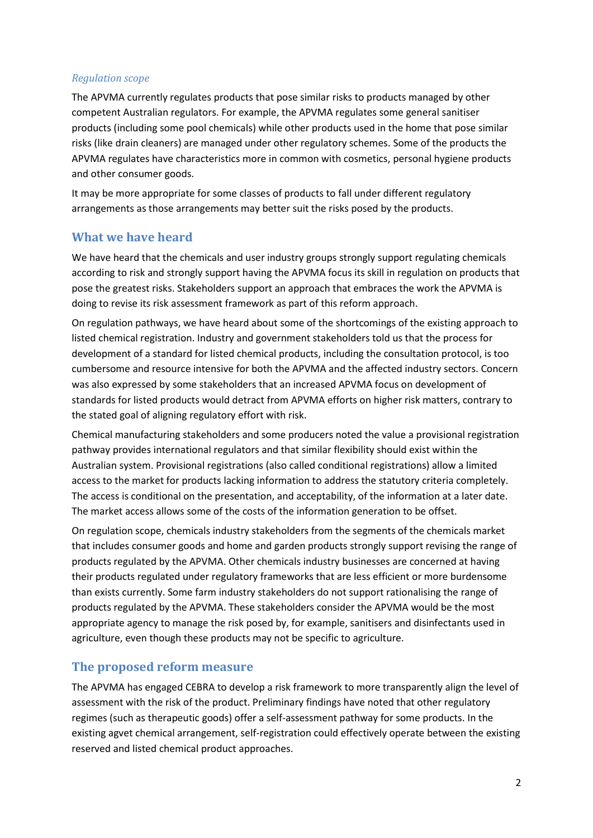#### *Regulation scope*

The APVMA currently regulates products that pose similar risks to products managed by other competent Australian regulators. For example, the APVMA regulates some general sanitiser products (including some pool chemicals) while other products used in the home that pose similar risks (like drain cleaners) are managed under other regulatory schemes. Some of the products the APVMA regulates have characteristics more in common with cosmetics, personal hygiene products and other consumer goods.

It may be more appropriate for some classes of products to fall under different regulatory arrangements as those arrangements may better suit the risks posed by the products.

## **What we have heard**

We have heard that the chemicals and user industry groups strongly support regulating chemicals according to risk and strongly support having the APVMA focus its skill in regulation on products that pose the greatest risks. Stakeholders support an approach that embraces the work the APVMA is doing to revise its risk assessment framework as part of this reform approach.

On regulation pathways, we have heard about some of the shortcomings of the existing approach to listed chemical registration. Industry and government stakeholders told us that the process for development of a standard for listed chemical products, including the consultation protocol, is too cumbersome and resource intensive for both the APVMA and the affected industry sectors. Concern was also expressed by some stakeholders that an increased APVMA focus on development of standards for listed products would detract from APVMA efforts on higher risk matters, contrary to the stated goal of aligning regulatory effort with risk.

Chemical manufacturing stakeholders and some producers noted the value a provisional registration pathway provides international regulators and that similar flexibility should exist within the Australian system. Provisional registrations (also called conditional registrations) allow a limited access to the market for products lacking information to address the statutory criteria completely. The access is conditional on the presentation, and acceptability, of the information at a later date. The market access allows some of the costs of the information generation to be offset.

On regulation scope, chemicals industry stakeholders from the segments of the chemicals market that includes consumer goods and home and garden products strongly support revising the range of products regulated by the APVMA. Other chemicals industry businesses are concerned at having their products regulated under regulatory frameworks that are less efficient or more burdensome than exists currently. Some farm industry stakeholders do not support rationalising the range of products regulated by the APVMA. These stakeholders consider the APVMA would be the most appropriate agency to manage the risk posed by, for example, sanitisers and disinfectants used in agriculture, even though these products may not be specific to agriculture.

## **The proposed reform measure**

The APVMA has engaged CEBRA to develop a risk framework to more transparently align the level of assessment with the risk of the product. Preliminary findings have noted that other regulatory regimes (such as therapeutic goods) offer a self-assessment pathway for some products. In the existing agvet chemical arrangement, self-registration could effectively operate between the existing reserved and listed chemical product approaches.